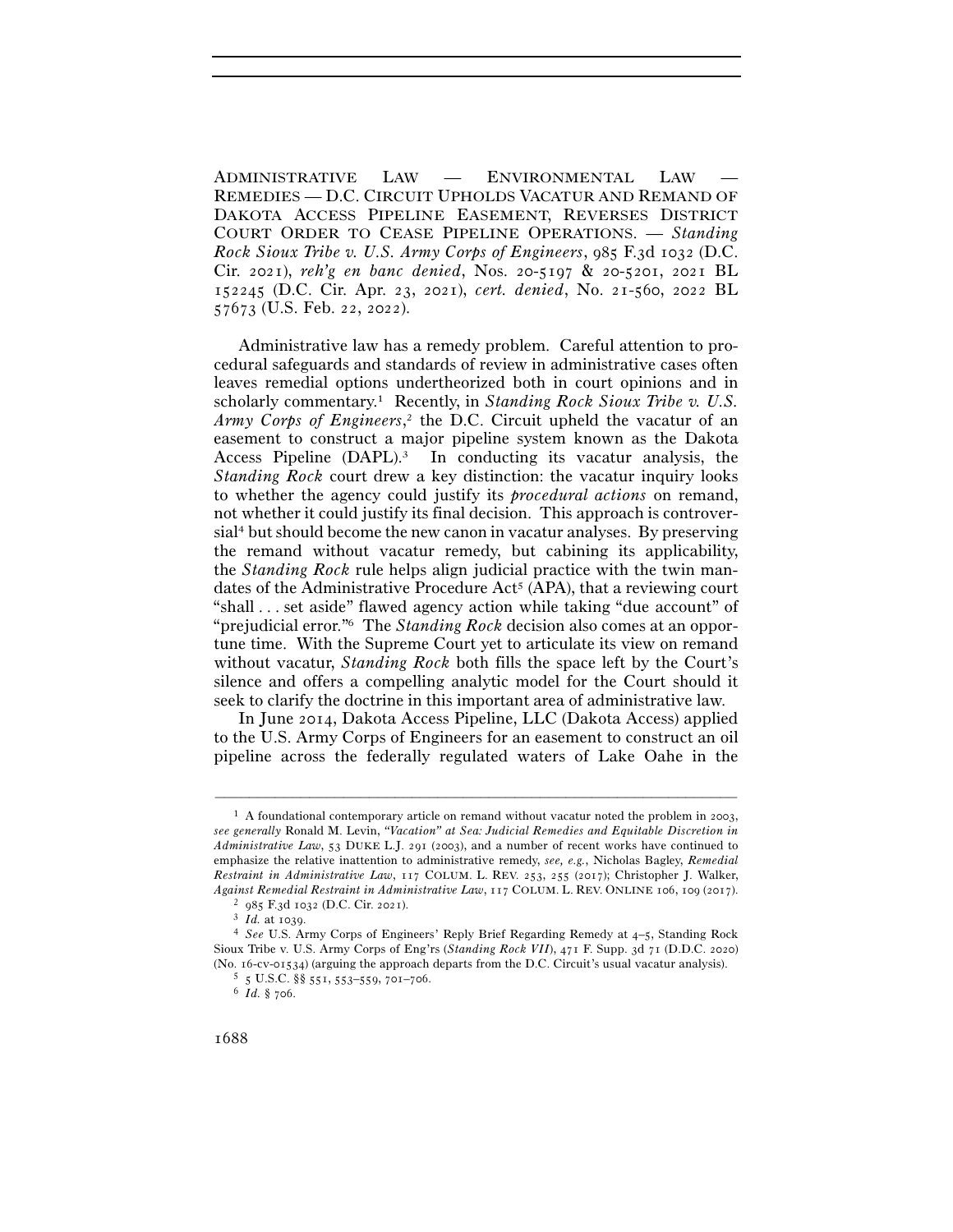ADMINISTRATIVE LAW — ENVIRONMENTAL LAW — REMEDIES — D.C. CIRCUIT UPHOLDS VACATUR AND REMAND OF DAKOTA ACCESS PIPELINE EASEMENT, REVERSES DISTRICT COURT ORDER TO CEASE PIPELINE OPERATIONS. — *Standing Rock Sioux Tribe v. U.S. Army Corps of Engineers*, 985 F.3d 1032 (D.C. Cir. 2021), *reh'g en banc denied*, Nos. 20-5197 & 20-5201, 2021 BL 152245 (D.C. Cir. Apr. 23, 2021), *cert. denied*, No. 21-560, 2022 BL 57673 (U.S. Feb. 22, 2022).

Administrative law has a remedy problem. Careful attention to procedural safeguards and standards of review in administrative cases often leaves remedial options undertheorized both in court opinions and in scholarly commentary.1 Recently, in *Standing Rock Sioux Tribe v. U.S. Army Corps of Engineers*, 2 the D.C. Circuit upheld the vacatur of an easement to construct a major pipeline system known as the Dakota Access Pipeline  $(DAPL)^3$  In conducting its vacatur analysis, the *Standing Rock* court drew a key distinction: the vacatur inquiry looks to whether the agency could justify its *procedural actions* on remand, not whether it could justify its final decision. This approach is controversial4 but should become the new canon in vacatur analyses. By preserving the remand without vacatur remedy, but cabining its applicability, the *Standing Rock* rule helps align judicial practice with the twin mandates of the Administrative Procedure Act<sup>5</sup> (APA), that a reviewing court "shall . . . set aside" flawed agency action while taking "due account" of "prejudicial error."6 The *Standing Rock* decision also comes at an opportune time. With the Supreme Court yet to articulate its view on remand without vacatur, *Standing Rock* both fills the space left by the Court's silence and offers a compelling analytic model for the Court should it seek to clarify the doctrine in this important area of administrative law.

In June 2014, Dakota Access Pipeline, LLC (Dakota Access) applied to the U.S. Army Corps of Engineers for an easement to construct an oil pipeline across the federally regulated waters of Lake Oahe in the

<sup>&</sup>lt;sup>1</sup> A foundational contemporary article on remand without vacatur noted the problem in 2003, *see generally* Ronald M. Levin, *"Vacation" at Sea: Judicial Remedies and Equitable Discretion in Administrative Law*, 53 DUKE L.J. 291 (2003), and a number of recent works have continued to emphasize the relative inattention to administrative remedy, *see, e.g.*, Nicholas Bagley, *Remedial Restraint in Administrative Law*, 117 COLUM. L. REV. 253, 255 (2017); Christopher J. Walker, *Against Remedial Restraint in Administrative Law*, 117 COLUM. L. REV. ONLINE <sup>106</sup>, 109 (<sup>2017</sup>). 2 <sup>985</sup> F.3d 1032 (D.C. Cir. <sup>2021</sup>). 3 *Id.* at 1039.

<sup>4</sup> *See* U.S. Army Corps of Engineers' Reply Brief Regarding Remedy at 4–5, Standing Rock Sioux Tribe v. U.S. Army Corps of Eng'rs (*Standing Rock VII*), 471 F. Supp. 3d 71 (D.D.C. 2020) (No. 16-cv-01534) (arguing the approach departs from the D.C. Circuit's usual vacatur analysis).  $^5\,$  5 U.S.C. §§ 551, 553–559, 701–706.

<sup>6</sup> *Id.* § 706.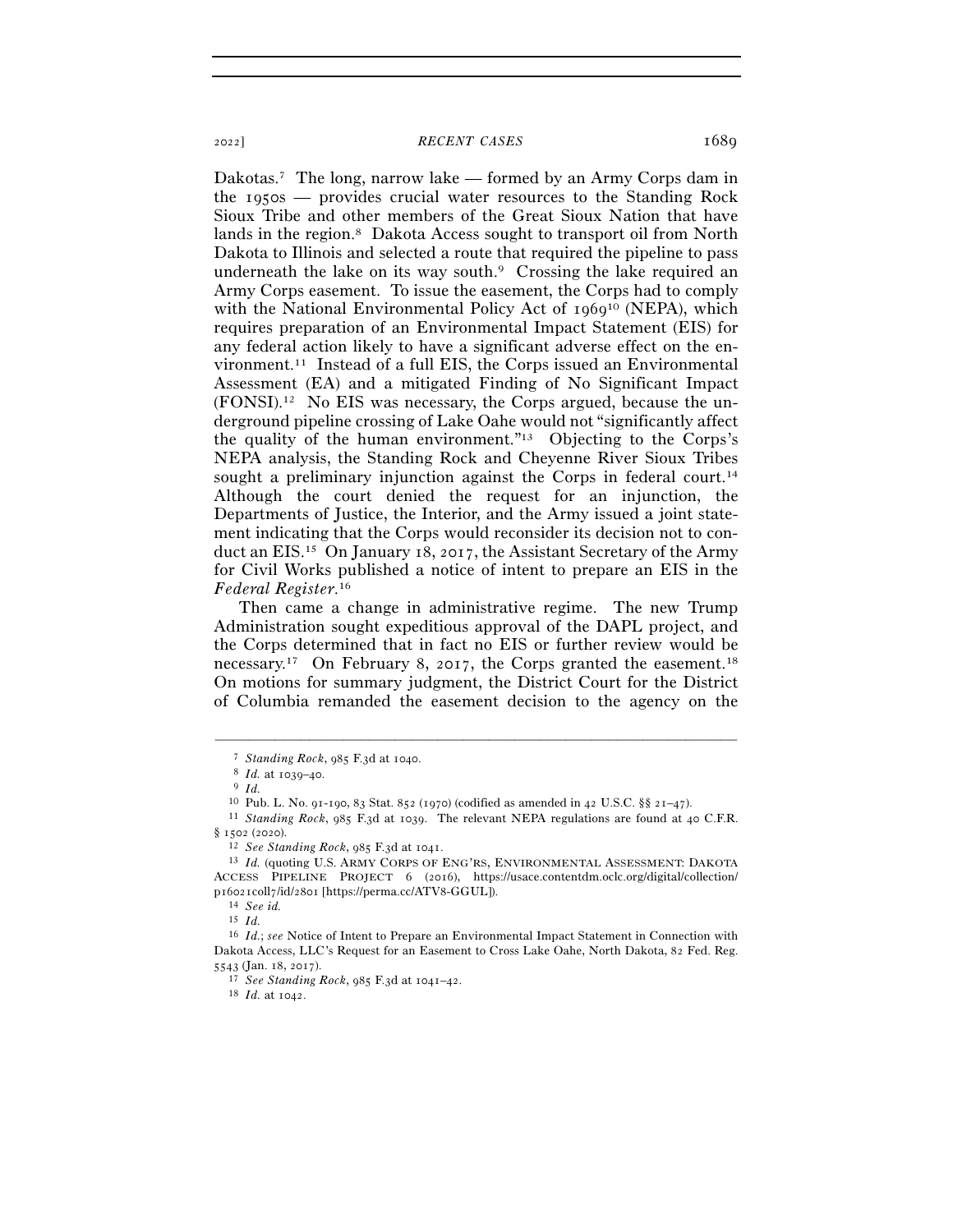Dakotas.<sup>7</sup> The long, narrow lake — formed by an Army Corps dam in the 1950s — provides crucial water resources to the Standing Rock Sioux Tribe and other members of the Great Sioux Nation that have lands in the region.8 Dakota Access sought to transport oil from North Dakota to Illinois and selected a route that required the pipeline to pass underneath the lake on its way south. $9$  Crossing the lake required an Army Corps easement. To issue the easement, the Corps had to comply with the National Environmental Policy Act of 1969<sup>10</sup> (NEPA), which requires preparation of an Environmental Impact Statement (EIS) for any federal action likely to have a significant adverse effect on the environment.11 Instead of a full EIS, the Corps issued an Environmental Assessment (EA) and a mitigated Finding of No Significant Impact (FONSI).12 No EIS was necessary, the Corps argued, because the underground pipeline crossing of Lake Oahe would not "significantly affect the quality of the human environment."13 Objecting to the Corps's NEPA analysis, the Standing Rock and Cheyenne River Sioux Tribes sought a preliminary injunction against the Corps in federal court.<sup>14</sup> Although the court denied the request for an injunction, the Departments of Justice, the Interior, and the Army issued a joint statement indicating that the Corps would reconsider its decision not to conduct an EIS.15 On January 18, 2017, the Assistant Secretary of the Army for Civil Works published a notice of intent to prepare an EIS in the *Federal Register*. 16

Then came a change in administrative regime. The new Trump Administration sought expeditious approval of the DAPL project, and the Corps determined that in fact no EIS or further review would be necessary.17 On February 8, 2017, the Corps granted the easement.18 On motions for summary judgment, the District Court for the District of Columbia remanded the easement decision to the agency on the

–––––––––––––––––––––––––––––––––––––––––––––––––––––––––––––

15 *Id.*

<sup>5543</sup> (Jan. 18, <sup>2017</sup>). 17 *See Standing Rock*, 985 F.3d at 1041–<sup>42</sup>. 18 *Id.* at 1042.

<sup>7</sup> *Standing Rock*, 985 F.3d at <sup>1040</sup>. 8 *Id.* at 1039–<sup>40</sup>. 9 *Id.*

<sup>10</sup> Pub. L. No. 91-190, 83 Stat. 852 (1970) (codified as amended in 42 U.S.C. §§ 21–<sup>47</sup>). 11 *Standing Rock*, 985 F.3d at 1039. The relevant NEPA regulations are found at 40 C.F.R. § 1502 (<sup>2020</sup>). 12 *See Standing Rock*, 985 F.3d at <sup>1041</sup>. 13 *Id.* (quoting U.S. ARMY CORPS OF ENG'RS, ENVIRONMENTAL ASSESSMENT: DAKOTA

ACCESS PIPELINE PROJECT 6 (2016), https://usace.contentdm.oclc.org/digital/collection/ <sup>p</sup>16021coll7/id/2801 [https://perma.cc/ATV<sup>8</sup>-GGUL]). 14 *See id.*

<sup>16</sup> *Id.*; *see* Notice of Intent to Prepare an Environmental Impact Statement in Connection with Dakota Access, LLC's Request for an Easement to Cross Lake Oahe, North Dakota, 82 Fed. Reg.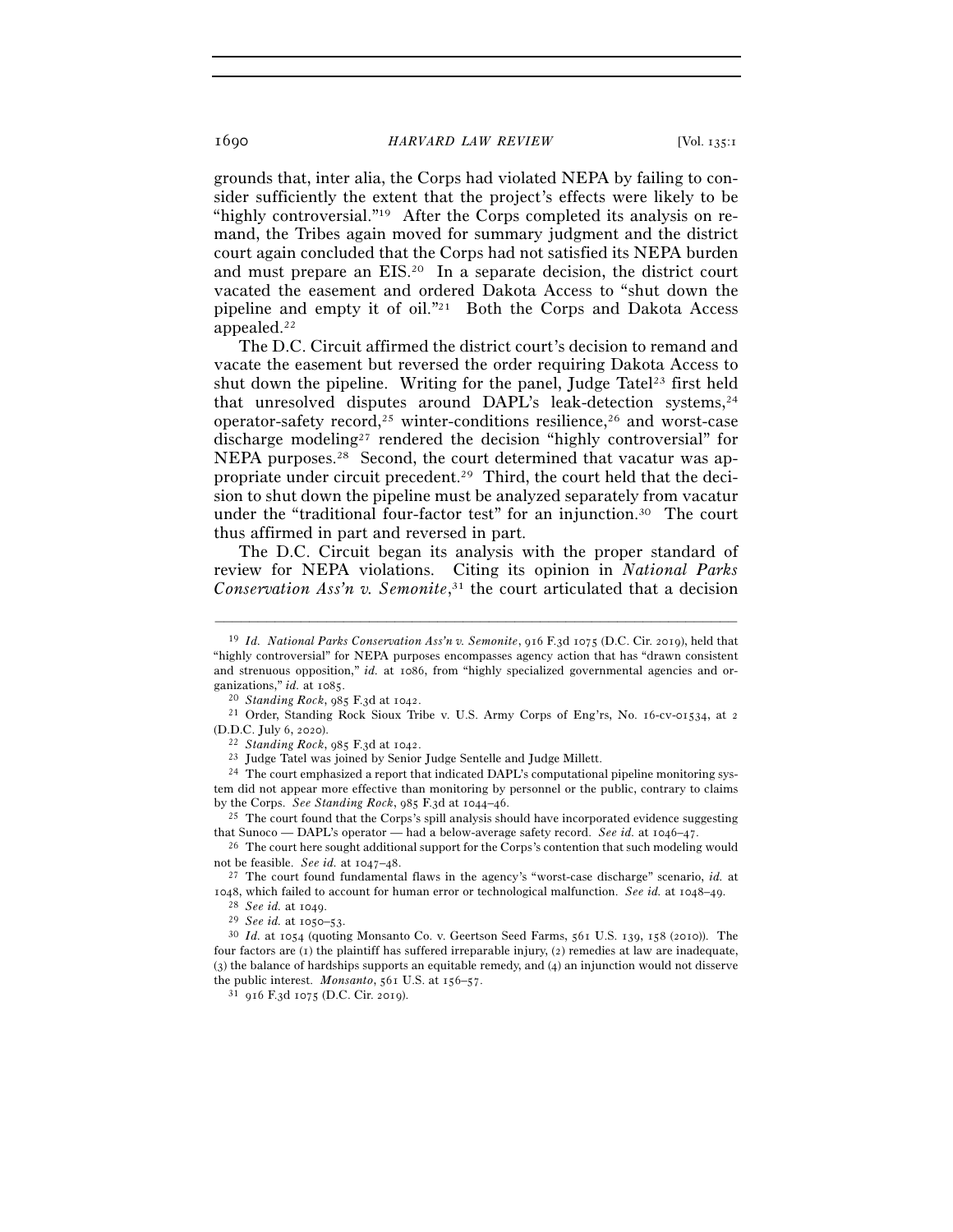grounds that, inter alia, the Corps had violated NEPA by failing to consider sufficiently the extent that the project's effects were likely to be "highly controversial."19 After the Corps completed its analysis on remand, the Tribes again moved for summary judgment and the district court again concluded that the Corps had not satisfied its NEPA burden and must prepare an EIS.20 In a separate decision, the district court vacated the easement and ordered Dakota Access to "shut down the pipeline and empty it of oil."21 Both the Corps and Dakota Access appealed.22

The D.C. Circuit affirmed the district court's decision to remand and vacate the easement but reversed the order requiring Dakota Access to shut down the pipeline. Writing for the panel, Judge Tatel<sup>23</sup> first held that unresolved disputes around DAPL's leak-detection systems,<sup>24</sup> operator-safety record,<sup>25</sup> winter-conditions resilience,<sup>26</sup> and worst-case discharge modeling27 rendered the decision "highly controversial" for NEPA purposes.28 Second, the court determined that vacatur was appropriate under circuit precedent.29 Third, the court held that the decision to shut down the pipeline must be analyzed separately from vacatur under the "traditional four-factor test" for an injunction.30 The court thus affirmed in part and reversed in part.

The D.C. Circuit began its analysis with the proper standard of review for NEPA violations. Citing its opinion in *National Parks Conservation Ass'n v. Semonite*, 31 the court articulated that a decision

–––––––––––––––––––––––––––––––––––––––––––––––––––––––––––––

(D.D.C. July 6, 2020).<br><sup>22</sup> *Standing Rock*, 985 F.3d at 1042.<br><sup>23</sup> Judge Tatel was joined by Senior Judge Sentelle and Judge Millett.<br><sup>24</sup> The court emphasized a report that indicated DAPL's computational pipeline monito

<sup>19</sup> *Id. National Parks Conservation Ass'n v. Semonite*, 916 F.3d 1075 (D.C. Cir. 2019), held that "highly controversial" for NEPA purposes encompasses agency action that has "drawn consistent and strenuous opposition," *id.* at 1086, from "highly specialized governmental agencies and organizations," *id.* at 1085.<br><sup>20</sup> *Standing Rock*, 985 F.3d at 1042.<br><sup>21</sup> Order, Standing Rock Sioux Tribe v. U.S. Army Corps of Eng'rs, No. 16-cv-01534, at 2

tem did not appear more effective than monitoring by personnel or the public, contrary to claims by the Corps. *See Standing Rock*, 985 F.3d at 1044–<sup>46</sup>. 25 The court found that the Corps's spill analysis should have incorporated evidence suggesting

that Sunoco — DAPL's operator — had a below-average safety record. *See id.* at 1046–<sup>47</sup>. 26 The court here sought additional support for the Corps's contention that such modeling would

not be feasible. *See id.* at 1047–<sup>48</sup>. 27 The court found fundamental flaws in the agency's "worst-case discharge" scenario, *id.* at

<sup>1048,</sup> which failed to account for human error or technological malfunction. See id. at 1048–49.<br>
<sup>28</sup> See id. at 1049.<br>
<sup>29</sup> See id. at 1050–53.<br>
<sup>30</sup> Id. at 1054 (quoting Monsanto Co. v. Geertson Seed Farms, 561 U.S. 139

four factors are (1) the plaintiff has suffered irreparable injury, (2) remedies at law are inadequate, (3) the balance of hardships supports an equitable remedy, and (4) an injunction would not disserve the public interest. *Monsanto*, 561 U.S. at 156–<sup>57</sup>. 31 <sup>916</sup> F.3d 1075 (D.C. Cir. 2019).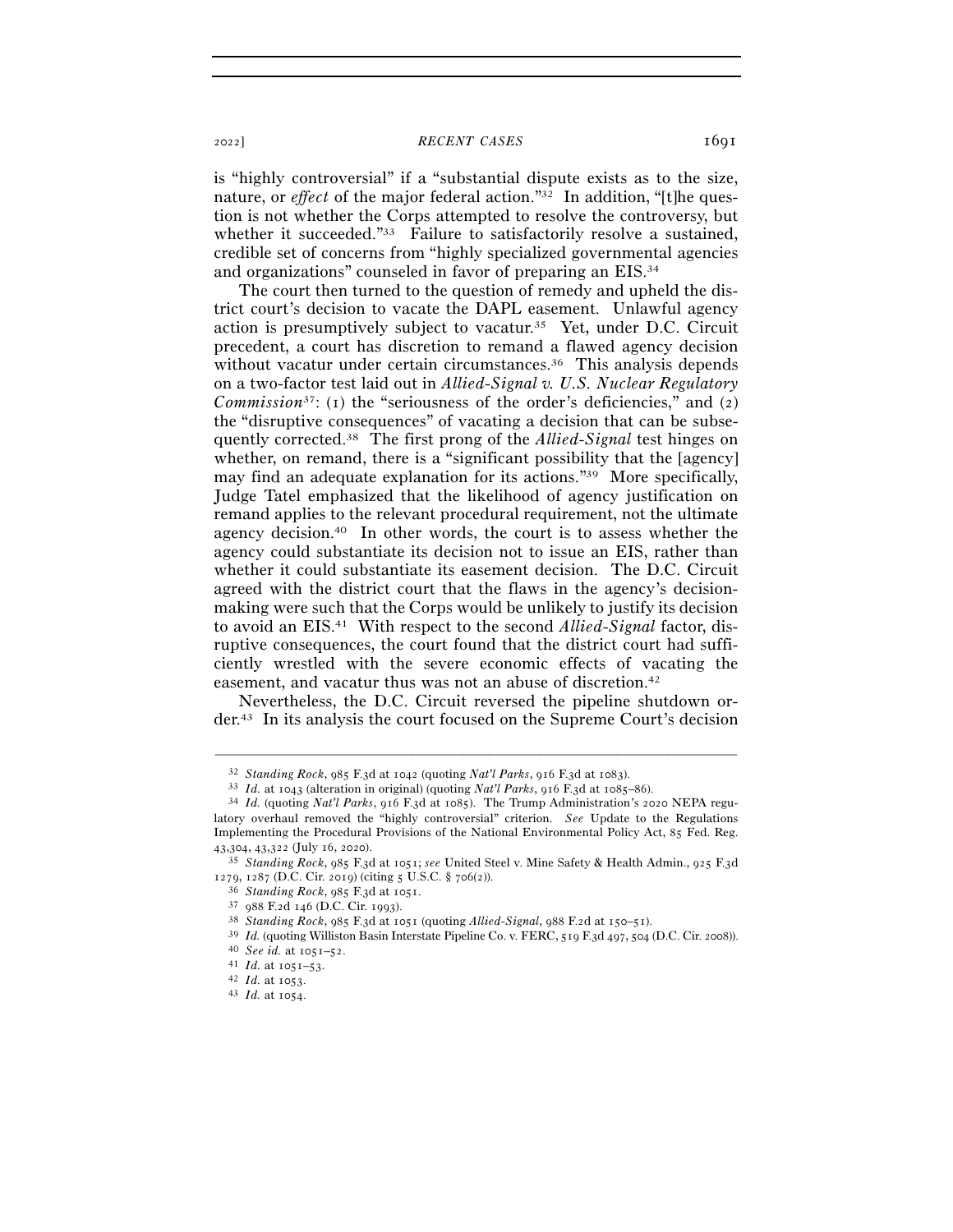<sup>2022</sup>] *RECENT CASES* 1691

is "highly controversial" if a "substantial dispute exists as to the size, nature, or *effect* of the major federal action."<sup>32</sup> In addition, "[t]he question is not whether the Corps attempted to resolve the controversy, but whether it succeeded."33 Failure to satisfactorily resolve a sustained, credible set of concerns from "highly specialized governmental agencies and organizations" counseled in favor of preparing an EIS.34

The court then turned to the question of remedy and upheld the district court's decision to vacate the DAPL easement. Unlawful agency action is presumptively subject to vacatur.35 Yet, under D.C. Circuit precedent, a court has discretion to remand a flawed agency decision without vacatur under certain circumstances.<sup>36</sup> This analysis depends on a two-factor test laid out in *Allied-Signal v. U.S. Nuclear Regulatory Commission*<sup>37</sup>: (1) the "seriousness of the order's deficiencies," and (2) the "disruptive consequences" of vacating a decision that can be subsequently corrected.38 The first prong of the *Allied-Signal* test hinges on whether, on remand, there is a "significant possibility that the [agency] may find an adequate explanation for its actions."39 More specifically, Judge Tatel emphasized that the likelihood of agency justification on remand applies to the relevant procedural requirement, not the ultimate agency decision.40 In other words, the court is to assess whether the agency could substantiate its decision not to issue an EIS, rather than whether it could substantiate its easement decision. The D.C. Circuit agreed with the district court that the flaws in the agency's decisionmaking were such that the Corps would be unlikely to justify its decision to avoid an EIS.41 With respect to the second *Allied-Signal* factor, disruptive consequences, the court found that the district court had sufficiently wrestled with the severe economic effects of vacating the easement, and vacatur thus was not an abuse of discretion.<sup>42</sup>

Nevertheless, the D.C. Circuit reversed the pipeline shutdown order.43 In its analysis the court focused on the Supreme Court's decision

<sup>&</sup>lt;sup>32</sup> Standing Rock, 985 F.3d at 1042 (quoting Nat'l Parks, 916 F.3d at 1083).<br><sup>33</sup> Id. at 1043 (alteration in original) (quoting Nat'l Parks, 916 F.3d at 1085–86).<br><sup>34</sup> Id. (quoting Nat'l Parks, 916 F.3d at 1085). The Tru latory overhaul removed the "highly controversial" criterion. *See* Update to the Regulations Implementing the Procedural Provisions of the National Environmental Policy Act, 85 Fed. Reg. <sup>43</sup>,304, 43,322 (July 16, <sup>2020</sup>). 35 *Standing Rock*, 985 F.3d at 1051; *see* United Steel v. Mine Safety & Health Admin., 925 F.3<sup>d</sup>

<sup>1279, 1287 (</sup>D.C. Cir. 2019) (citing 5 U.S.C. § 706(2)).<br>
<sup>36</sup> Standing Rock, 985 F.3d at 1051.<br>
<sup>37</sup> 988 F.2d 146 (D.C. Cir. 1993).<br>
<sup>38</sup> Standing Rock, 985 F.3d at 1051 (quoting *Allied-Signal*, 988 F.2d at 150–51).<br>
<sup>39</sup>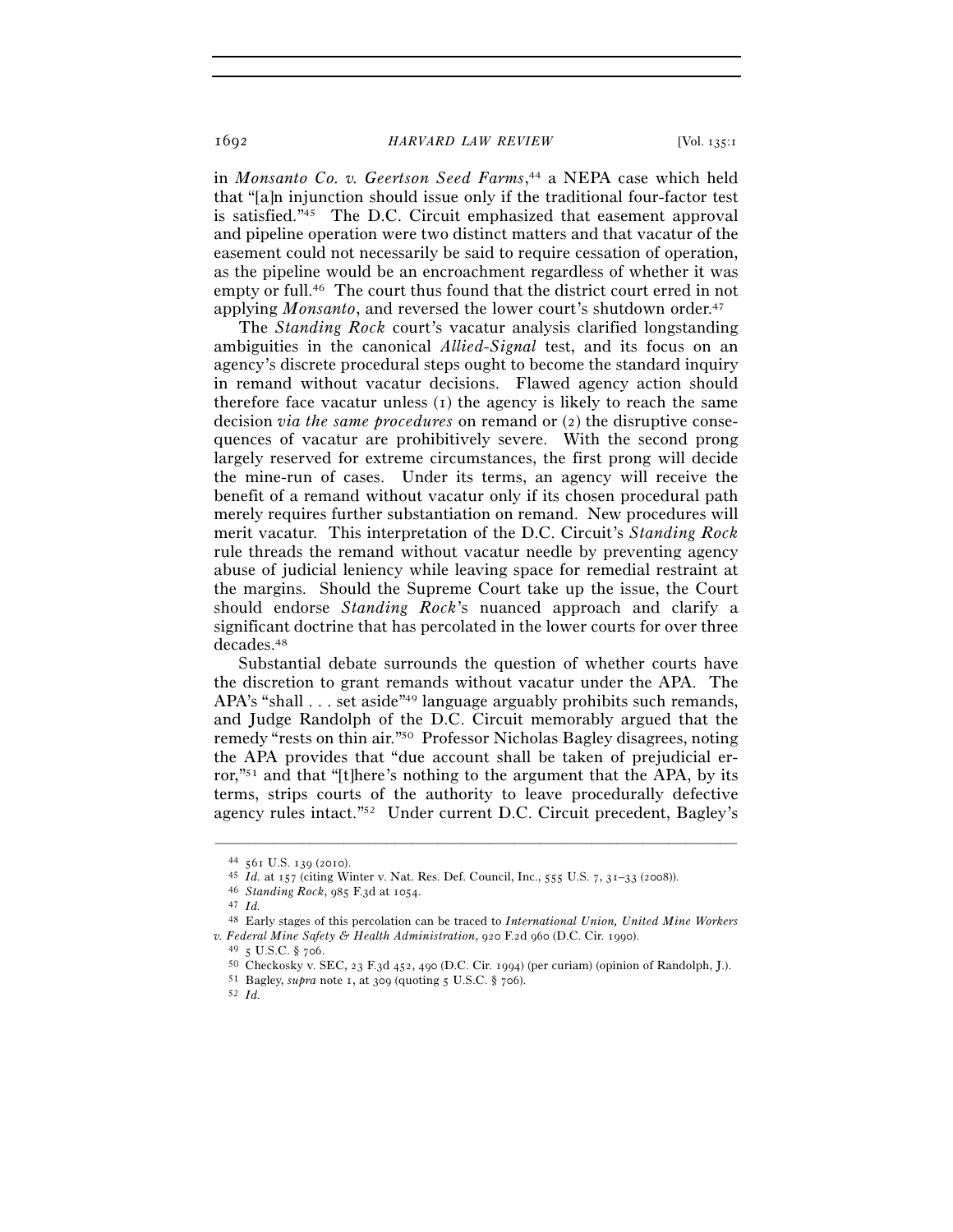## 1692 *HARVARD LAW REVIEW* [Vol. 135:<sup>1</sup>

in *Monsanto Co. v. Geertson Seed Farms*, 44 a NEPA case which held that "[a]n injunction should issue only if the traditional four-factor test is satisfied."45 The D.C. Circuit emphasized that easement approval and pipeline operation were two distinct matters and that vacatur of the easement could not necessarily be said to require cessation of operation, as the pipeline would be an encroachment regardless of whether it was empty or full.46 The court thus found that the district court erred in not applying *Monsanto*, and reversed the lower court's shutdown order.<sup>47</sup>

The *Standing Rock* court's vacatur analysis clarified longstanding ambiguities in the canonical *Allied-Signal* test, and its focus on an agency's discrete procedural steps ought to become the standard inquiry in remand without vacatur decisions. Flawed agency action should therefore face vacatur unless  $(I)$  the agency is likely to reach the same decision *via the same procedures* on remand or (2) the disruptive consequences of vacatur are prohibitively severe. With the second prong largely reserved for extreme circumstances, the first prong will decide the mine-run of cases. Under its terms, an agency will receive the benefit of a remand without vacatur only if its chosen procedural path merely requires further substantiation on remand. New procedures will merit vacatur. This interpretation of the D.C. Circuit's *Standing Rock* rule threads the remand without vacatur needle by preventing agency abuse of judicial leniency while leaving space for remedial restraint at the margins. Should the Supreme Court take up the issue, the Court should endorse *Standing Rock*'s nuanced approach and clarify a significant doctrine that has percolated in the lower courts for over three decades.48

Substantial debate surrounds the question of whether courts have the discretion to grant remands without vacatur under the APA. The APA's "shall . . . set aside"<sup>49</sup> language arguably prohibits such remands, and Judge Randolph of the D.C. Circuit memorably argued that the remedy "rests on thin air."50 Professor Nicholas Bagley disagrees, noting the APA provides that "due account shall be taken of prejudicial error,"<sup>51</sup> and that "[t]here's nothing to the argument that the APA, by its terms, strips courts of the authority to leave procedurally defective agency rules intact."52 Under current D.C. Circuit precedent, Bagley's

<sup>44</sup> <sup>561</sup> U.S. 139 (<sup>2010</sup>). 45 *Id.* at 157 (citing Winter v. Nat. Res. Def. Council, Inc., 555 U.S. 7, 31–33 (<sup>2008</sup>)). 46 *Standing Rock*, 985 F.3d at <sup>1054</sup>. 47 *Id.* 

<sup>48</sup> Early stages of this percolation can be traced to *International Union, United Mine Workers*  v. Federal Mine Safety & Health Administration, 920 F.2d 960 (D.C. Cir. 1990).<br>
<sup>49</sup> 5 U.S.C. § 706.<br>
<sup>50</sup> Checkosky v. SEC, 23 F.3d 452, 490 (D.C. Cir. 1994) (per curiam) (opinion of Randolph, J.).<br>
<sup>51</sup> Bagley, *supra*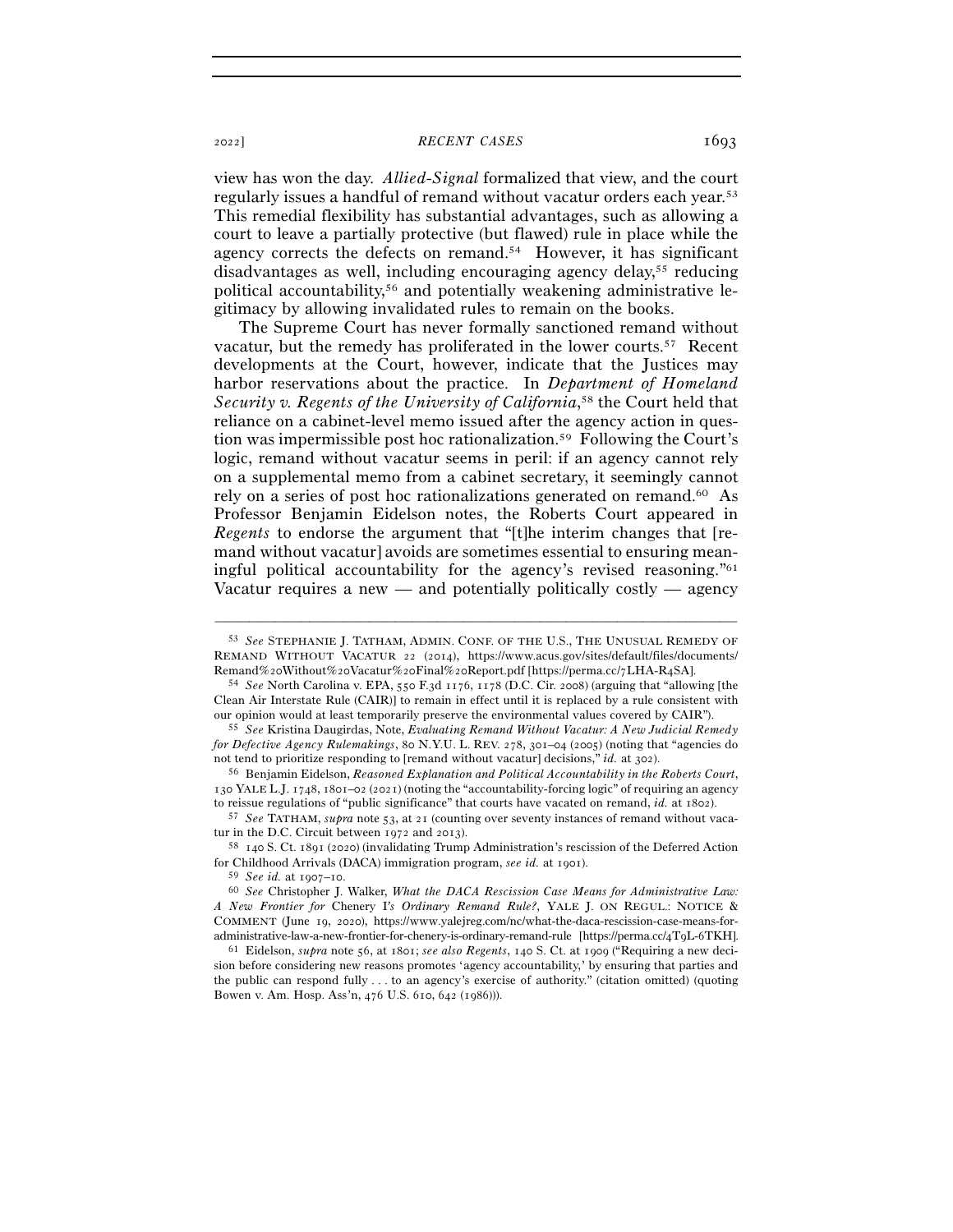## <sup>2022</sup>] *RECENT CASES* 1693

view has won the day. *Allied-Signal* formalized that view, and the court regularly issues a handful of remand without vacatur orders each year.53 This remedial flexibility has substantial advantages, such as allowing a court to leave a partially protective (but flawed) rule in place while the agency corrects the defects on remand.54 However, it has significant disadvantages as well, including encouraging agency delay,55 reducing political accountability,56 and potentially weakening administrative legitimacy by allowing invalidated rules to remain on the books.

The Supreme Court has never formally sanctioned remand without vacatur, but the remedy has proliferated in the lower courts.57 Recent developments at the Court, however, indicate that the Justices may harbor reservations about the practice. In *Department of Homeland*  Security v. Regents of the University of California,<sup>58</sup> the Court held that reliance on a cabinet-level memo issued after the agency action in question was impermissible post hoc rationalization.59 Following the Court's logic, remand without vacatur seems in peril: if an agency cannot rely on a supplemental memo from a cabinet secretary, it seemingly cannot rely on a series of post hoc rationalizations generated on remand.<sup>60</sup> As Professor Benjamin Eidelson notes, the Roberts Court appeared in *Regents* to endorse the argument that "[t]he interim changes that [remand without vacatur] avoids are sometimes essential to ensuring meaningful political accountability for the agency's revised reasoning."61 Vacatur requires a new  $-$  and potentially politically costly  $-$  agency

<sup>53</sup> *See* STEPHANIE J. TATHAM, ADMIN. CONF. OF THE U.S., THE UNUSUAL REMEDY OF REMAND WITHOUT VACATUR 22 (2014), https://www.acus.gov/sites/default/files/documents/ Remand%20Without%20Vacatur%20Final%20Report.pdf [https://perma.cc/7LHA-R<sup>4</sup>SA]. 54 *See* North Carolina v. EPA, 550 F.3d 1176, 1178 (D.C. Cir. 2008) (arguing that "allowing [the

Clean Air Interstate Rule (CAIR)] to remain in effect until it is replaced by a rule consistent with our opinion would at least temporarily preserve the environmental values covered by CAIR"). 55 *See* Kristina Daugirdas, Note, *Evaluating Remand Without Vacatur: A New Judicial Remedy* 

*for Defective Agency Rulemakings*, 80 N.Y.U. L. REV. 278, 301–04 (2005) (noting that "agencies do not tend to prioritize responding to [remand without vacatur] decisions," *id.* at <sup>302</sup>). 56 Benjamin Eidelson, *Reasoned Explanation and Political Accountability in the Roberts Court*,

<sup>130</sup> YALE L.J. 1748, 1801–02 (2021) (noting the "accountability-forcing logic" of requiring an agency

to reissue regulations of "public significance" that courts have vacated on remand, *id.* at <sup>1802</sup>). 57 *See* TATHAM, *supra* note 53, at 21 (counting over seventy instances of remand without vacatur in the D.C. Circuit between 1972 and <sup>2013</sup>). 58 <sup>140</sup> S. Ct. 1891 (2020) (invalidating Trump Administration's rescission of the Deferred Action

for Childhood Arrivals (DACA) immigration program, *see id.* at 1901).

<sup>59</sup> *See id.* at 1907–10.<br><sup>60</sup> *See* Christopher J. Walker, *What the DACA Rescission Case Means for Administrative Law: A New Frontier for* Chenery I*'s Ordinary Remand Rule?*, YALE J. ON REGUL.: NOTICE & COMMENT (June 19, 2020), https://www.yalejreg.com/nc/what-the-daca-rescission-case-means-foradministrative-law-a-new-frontier-for-chenery-is-ordinary-remand-rule [https://perma.cc/4T<sup>9</sup>L-6TKH]. 61 Eidelson, *supra* note 56, at 1801; *see also Regents*, 140 S. Ct. at 1909 ("Requiring a new deci-

sion before considering new reasons promotes 'agency accountability,' by ensuring that parties and the public can respond fully . . . to an agency's exercise of authority." (citation omitted) (quoting Bowen v. Am. Hosp. Ass'n, 476 U.S. 610, 642 (1986))).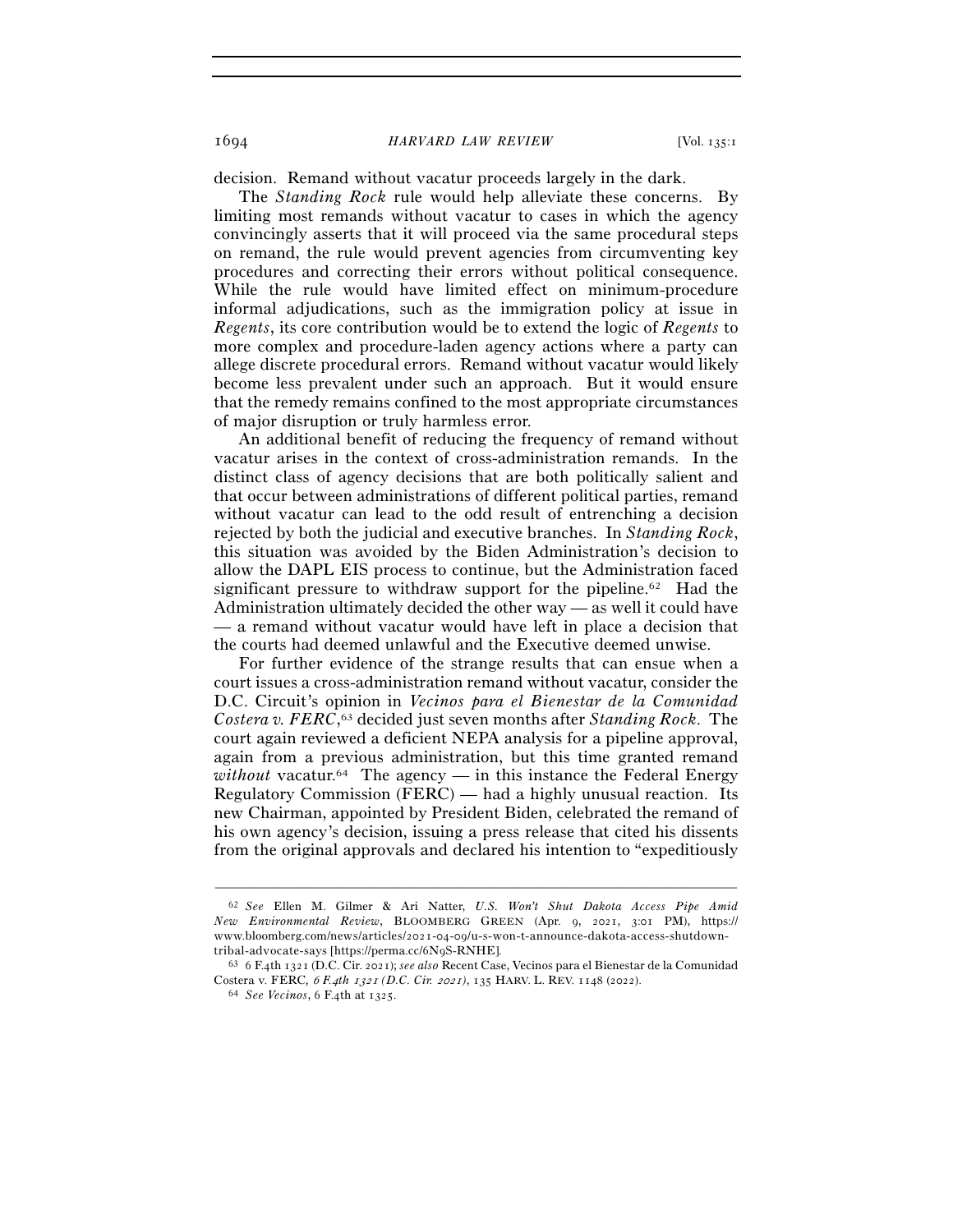1694 *HARVARD LAW REVIEW* [Vol. 135:<sup>1</sup>

decision. Remand without vacatur proceeds largely in the dark.

The *Standing Rock* rule would help alleviate these concerns. By limiting most remands without vacatur to cases in which the agency convincingly asserts that it will proceed via the same procedural steps on remand, the rule would prevent agencies from circumventing key procedures and correcting their errors without political consequence. While the rule would have limited effect on minimum-procedure informal adjudications, such as the immigration policy at issue in *Regents*, its core contribution would be to extend the logic of *Regents* to more complex and procedure-laden agency actions where a party can allege discrete procedural errors. Remand without vacatur would likely become less prevalent under such an approach. But it would ensure that the remedy remains confined to the most appropriate circumstances of major disruption or truly harmless error.

An additional benefit of reducing the frequency of remand without vacatur arises in the context of cross-administration remands. In the distinct class of agency decisions that are both politically salient and that occur between administrations of different political parties, remand without vacatur can lead to the odd result of entrenching a decision rejected by both the judicial and executive branches. In *Standing Rock*, this situation was avoided by the Biden Administration's decision to allow the DAPL EIS process to continue, but the Administration faced significant pressure to withdraw support for the pipeline.<sup>62</sup> Had the Administration ultimately decided the other way — as well it could have — a remand without vacatur would have left in place a decision that the courts had deemed unlawful and the Executive deemed unwise.

For further evidence of the strange results that can ensue when a court issues a cross-administration remand without vacatur, consider the D.C. Circuit's opinion in *Vecinos para el Bienestar de la Comunidad Costera v. FERC*, 63 decided just seven months after *Standing Rock*. The court again reviewed a deficient NEPA analysis for a pipeline approval, again from a previous administration, but this time granted remand *without* vacatur.<sup>64</sup> The agency — in this instance the Federal Energy Regulatory Commission (FERC) — had a highly unusual reaction. Its new Chairman, appointed by President Biden, celebrated the remand of his own agency's decision, issuing a press release that cited his dissents from the original approvals and declared his intention to "expeditiously

<sup>62</sup> *See* Ellen M. Gilmer & Ari Natter, *U.S. Won't Shut Dakota Access Pipe Amid New Environmental Review*, BLOOMBERG GREEN (Apr. 9, 2021, 3:01 PM), https:// www.bloomberg.com/news/articles/2021-04-09/u-s-won-t-announce-dakota-access-shutdown-

tribal-advocate-says [https://perma.cc/6N<sup>9</sup>S-RNHE]. 63 <sup>6</sup> F.4th 1321 (D.C. Cir. 2021); *see also* Recent Case, Vecinos para el Bienestar de la Comunidad Costera v. FERC*,* 6 *F.*4*th* 1321 *(D.C. Cir.* 2021*)*, 135 HARV. L. REV. 1148 (<sup>2022</sup>). 64 *See Vecinos*, 6 F.4th at 1325.